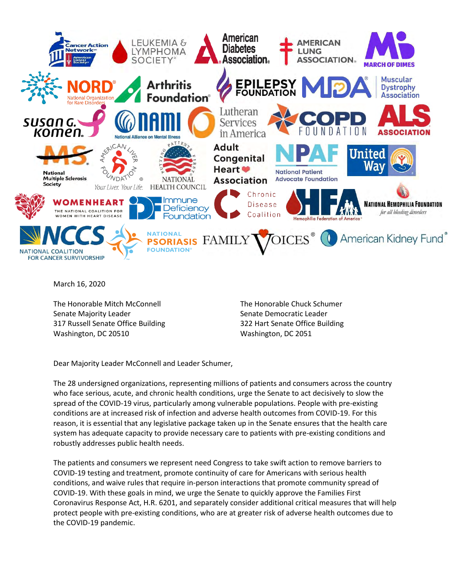

March 16, 2020

The Honorable Mitch McConnell Senate Majority Leader 317 Russell Senate Office Building Washington, DC 20510

The Honorable Chuck Schumer Senate Democratic Leader 322 Hart Senate Office Building Washington, DC 2051

Dear Majority Leader McConnell and Leader Schumer,

The 28 undersigned organizations, representing millions of patients and consumers across the country who face serious, acute, and chronic health conditions, urge the Senate to act decisively to slow the spread of the COVID-19 virus, particularly among vulnerable populations. People with pre-existing conditions are at increased risk of infection and adverse health outcomes from COVID-19. For this reason, it is essential that any legislative package taken up in the Senate ensures that the health care system has adequate capacity to provide necessary care to patients with pre-existing conditions and robustly addresses public health needs.

The patients and consumers we represent need Congress to take swift action to remove barriers to COVID-19 testing and treatment, promote continuity of care for Americans with serious health conditions, and waive rules that require in-person interactions that promote community spread of COVID-19. With these goals in mind, we urge the Senate to quickly approve the Families First Coronavirus Response Act, H.R. 6201, and separately consider additional critical measures that will help protect people with pre-existing conditions, who are at greater risk of adverse health outcomes due to the COVID-19 pandemic.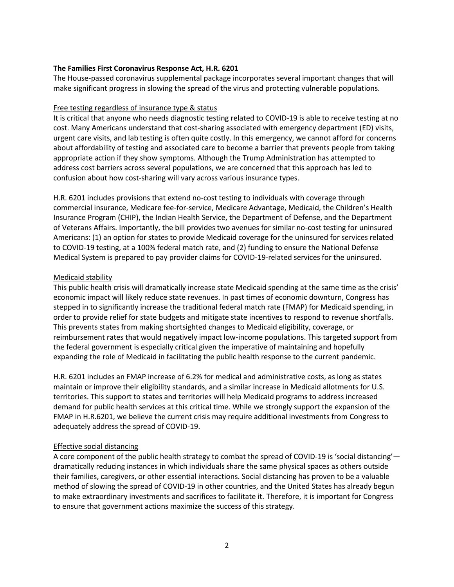# **The Families First Coronavirus Response Act, H.R. 6201**

The House-passed coronavirus supplemental package incorporates several important changes that will make significant progress in slowing the spread of the virus and protecting vulnerable populations.

### Free testing regardless of insurance type & status

It is critical that anyone who needs diagnostic testing related to COVID-19 is able to receive testing at no cost. Many Americans understand that cost-sharing associated with emergency department (ED) visits, urgent care visits, and lab testing is often quite costly. In this emergency, we cannot afford for concerns about affordability of testing and associated care to become a barrier that prevents people from taking appropriate action if they show symptoms. Although the Trump Administration has attempted to address cost barriers across several populations, we are concerned that this approach has led to confusion about how cost-sharing will vary across various insurance types.

H.R. 6201 includes provisions that extend no-cost testing to individuals with coverage through commercial insurance, Medicare fee-for-service, Medicare Advantage, Medicaid, the Children's Health Insurance Program (CHIP), the Indian Health Service, the Department of Defense, and the Department of Veterans Affairs. Importantly, the bill provides two avenues for similar no-cost testing for uninsured Americans: (1) an option for states to provide Medicaid coverage for the uninsured for services related to COVID-19 testing, at a 100% federal match rate, and (2) funding to ensure the National Defense Medical System is prepared to pay provider claims for COVID-19-related services for the uninsured.

### Medicaid stability

This public health crisis will dramatically increase state Medicaid spending at the same time as the crisis' economic impact will likely reduce state revenues. In past times of economic downturn, Congress has stepped in to significantly increase the traditional federal match rate (FMAP) for Medicaid spending, in order to provide relief for state budgets and mitigate state incentives to respond to revenue shortfalls. This prevents states from making shortsighted changes to Medicaid eligibility, coverage, or reimbursement rates that would negatively impact low-income populations. This targeted support from the federal government is especially critical given the imperative of maintaining and hopefully expanding the role of Medicaid in facilitating the public health response to the current pandemic.

H.R. 6201 includes an FMAP increase of 6.2% for medical and administrative costs, as long as states maintain or improve their eligibility standards, and a similar increase in Medicaid allotments for U.S. territories. This support to states and territories will help Medicaid programs to address increased demand for public health services at this critical time. While we strongly support the expansion of the FMAP in H.R.6201, we believe the current crisis may require additional investments from Congress to adequately address the spread of COVID-19.

# Effective social distancing

A core component of the public health strategy to combat the spread of COVID-19 is 'social distancing' dramatically reducing instances in which individuals share the same physical spaces as others outside their families, caregivers, or other essential interactions. Social distancing has proven to be a valuable method of slowing the spread of COVID-19 in other countries, and the United States has already begun to make extraordinary investments and sacrifices to facilitate it. Therefore, it is important for Congress to ensure that government actions maximize the success of this strategy.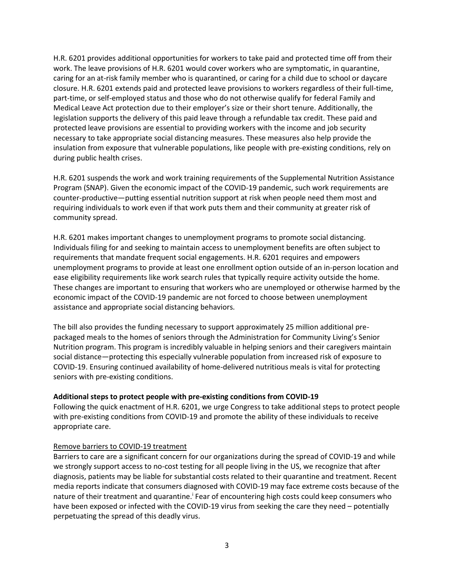H.R. 6201 provides additional opportunities for workers to take paid and protected time off from their work. The leave provisions of H.R. 6201 would cover workers who are symptomatic, in quarantine, caring for an at-risk family member who is quarantined, or caring for a child due to school or daycare closure. H.R. 6201 extends paid and protected leave provisions to workers regardless of their full-time, part-time, or self-employed status and those who do not otherwise qualify for federal Family and Medical Leave Act protection due to their employer's size or their short tenure. Additionally, the legislation supports the delivery of this paid leave through a refundable tax credit. These paid and protected leave provisions are essential to providing workers with the income and job security necessary to take appropriate social distancing measures. These measures also help provide the insulation from exposure that vulnerable populations, like people with pre-existing conditions, rely on during public health crises.

H.R. 6201 suspends the work and work training requirements of the Supplemental Nutrition Assistance Program (SNAP). Given the economic impact of the COVID-19 pandemic, such work requirements are counter-productive—putting essential nutrition support at risk when people need them most and requiring individuals to work even if that work puts them and their community at greater risk of community spread.

H.R. 6201 makes important changes to unemployment programs to promote social distancing. Individuals filing for and seeking to maintain access to unemployment benefits are often subject to requirements that mandate frequent social engagements. H.R. 6201 requires and empowers unemployment programs to provide at least one enrollment option outside of an in-person location and ease eligibility requirements like work search rules that typically require activity outside the home. These changes are important to ensuring that workers who are unemployed or otherwise harmed by the economic impact of the COVID-19 pandemic are not forced to choose between unemployment assistance and appropriate social distancing behaviors.

The bill also provides the funding necessary to support approximately 25 million additional prepackaged meals to the homes of seniors through the Administration for Community Living's Senior Nutrition program. This program is incredibly valuable in helping seniors and their caregivers maintain social distance—protecting this especially vulnerable population from increased risk of exposure to COVID-19. Ensuring continued availability of home-delivered nutritious meals is vital for protecting seniors with pre-existing conditions.

# **Additional steps to protect people with pre-existing conditions from COVID-19**

Following the quick enactment of H.R. 6201, we urge Congress to take additional steps to protect people with pre-existing conditions from COVID-19 and promote the ability of these individuals to receive appropriate care.

#### Remove barriers to COVID-19 treatment

Barriers to care are a significant concern for our organizations during the spread of COVID-19 and while we strongly support access to no-cost testing for all people living in the US, we recognize that after diagnosis, patients may be liable for substantial costs related to their quarantine and treatment. Recent media reports indicate that consumers diagnosed with COVID-19 may face extreme costs because of the nature of their treatment and quarantine.<sup>i</sup> Fear of encountering high costs could keep consumers who have been exposed or infected with the COVID-19 virus from seeking the care they need – potentially perpetuating the spread of this deadly virus.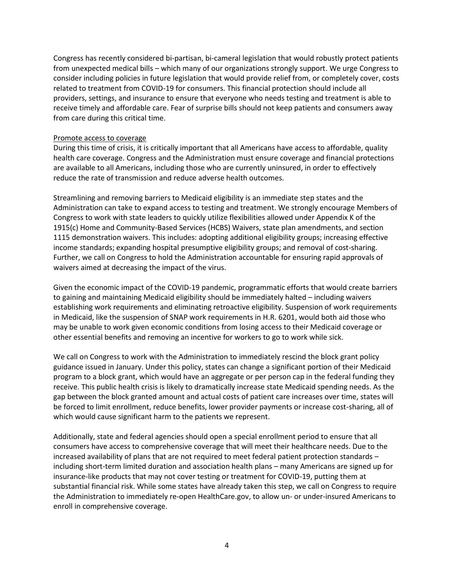Congress has recently considered bi-partisan, bi-cameral legislation that would robustly protect patients from unexpected medical bills – which many of our organizations strongly support. We urge Congress to consider including policies in future legislation that would provide relief from, or completely cover, costs related to treatment from COVID-19 for consumers. This financial protection should include all providers, settings, and insurance to ensure that everyone who needs testing and treatment is able to receive timely and affordable care. Fear of surprise bills should not keep patients and consumers away from care during this critical time.

### Promote access to coverage

During this time of crisis, it is critically important that all Americans have access to affordable, quality health care coverage. Congress and the Administration must ensure coverage and financial protections are available to all Americans, including those who are currently uninsured, in order to effectively reduce the rate of transmission and reduce adverse health outcomes.

Streamlining and removing barriers to Medicaid eligibility is an immediate step states and the Administration can take to expand access to testing and treatment. We strongly encourage Members of Congress to work with state leaders to quickly utilize flexibilities allowed under Appendix K of the 1915(c) Home and Community-Based Services (HCBS) Waivers, state plan amendments, and section 1115 demonstration waivers. This includes: adopting additional eligibility groups; increasing effective income standards; expanding hospital presumptive eligibility groups; and removal of cost-sharing. Further, we call on Congress to hold the Administration accountable for ensuring rapid approvals of waivers aimed at decreasing the impact of the virus.

Given the economic impact of the COVID-19 pandemic, programmatic efforts that would create barriers to gaining and maintaining Medicaid eligibility should be immediately halted – including waivers establishing work requirements and eliminating retroactive eligibility. Suspension of work requirements in Medicaid, like the suspension of SNAP work requirements in H.R. 6201, would both aid those who may be unable to work given economic conditions from losing access to their Medicaid coverage or other essential benefits and removing an incentive for workers to go to work while sick.

We call on Congress to work with the Administration to immediately rescind the block grant policy guidance issued in January. Under this policy, states can change a significant portion of their Medicaid program to a block grant, which would have an aggregate or per person cap in the federal funding they receive. This public health crisis is likely to dramatically increase state Medicaid spending needs. As the gap between the block granted amount and actual costs of patient care increases over time, states will be forced to limit enrollment, reduce benefits, lower provider payments or increase cost-sharing, all of which would cause significant harm to the patients we represent.

Additionally, state and federal agencies should open a special enrollment period to ensure that all consumers have access to comprehensive coverage that will meet their healthcare needs. Due to the increased availability of plans that are not required to meet federal patient protection standards – including short-term limited duration and association health plans – many Americans are signed up for insurance-like products that may not cover testing or treatment for COVID-19, putting them at substantial financial risk. While some states have already taken this step, we call on Congress to require the Administration to immediately re-open HealthCare.gov, to allow un- or under-insured Americans to enroll in comprehensive coverage.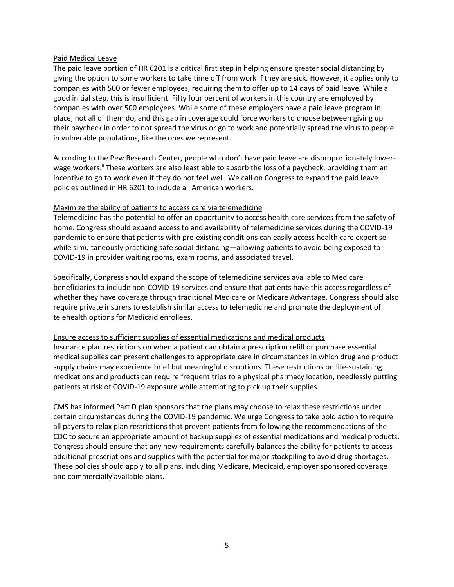### Paid Medical Leave

The paid leave portion of HR 6201 is a critical first step in helping ensure greater social distancing by giving the option to some workers to take time off from work if they are sick. However, it applies only to companies with 500 or fewer employees, requiring them to offer up to 14 days of paid leave. While a good initial step, this is insufficient. Fifty four percent of workers in this country are employed by companies with over 500 employees. While some of these employers have a paid leave program in place, not all of them do, and this gap in coverage could force workers to choose between giving up their paycheck in order to not spread the virus or go to work and potentially spread the virus to people in vulnerable populations, like the ones we represent.

According to the Pew Research Center, people who don't have paid leave are disproportionately lowerwage workers.<sup>ii</sup> These workers are also least able to absorb the loss of a paycheck, providing them an incentive to go to work even if they do not feel well. We call on Congress to expand the paid leave policies outlined in HR 6201 to include all American workers.

# Maximize the ability of patients to access care via telemedicine

Telemedicine has the potential to offer an opportunity to access health care services from the safety of home. Congress should expand access to and availability of telemedicine services during the COVID-19 pandemic to ensure that patients with pre-existing conditions can easily access health care expertise while simultaneously practicing safe social distancing—allowing patients to avoid being exposed to COVID-19 in provider waiting rooms, exam rooms, and associated travel.

Specifically, Congress should expand the scope of telemedicine services available to Medicare beneficiaries to include non-COVID-19 services and ensure that patients have this access regardless of whether they have coverage through traditional Medicare or Medicare Advantage. Congress should also require private insurers to establish similar access to telemedicine and promote the deployment of telehealth options for Medicaid enrollees.

#### Ensure access to sufficient supplies of essential medications and medical products

Insurance plan restrictions on when a patient can obtain a prescription refill or purchase essential medical supplies can present challenges to appropriate care in circumstances in which drug and product supply chains may experience brief but meaningful disruptions. These restrictions on life-sustaining medications and products can require frequent trips to a physical pharmacy location, needlessly putting patients at risk of COVID-19 exposure while attempting to pick up their supplies.

CMS has informed Part D plan sponsors that the plans may choose to relax these restrictions under certain circumstances during the COVID-19 pandemic. We urge Congress to take bold action to require all payers to relax plan restrictions that prevent patients from following the recommendations of the CDC to secure an appropriate amount of backup supplies of essential medications and medical products. Congress should ensure that any new requirements carefully balances the ability for patients to access additional prescriptions and supplies with the potential for major stockpiling to avoid drug shortages. These policies should apply to all plans, including Medicare, Medicaid, employer sponsored coverage and commercially available plans.